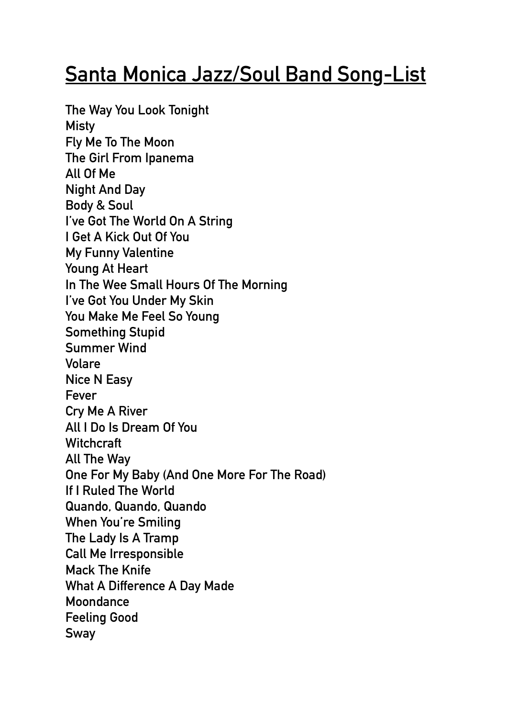## **Santa Monica Jazz/Soul Band Song-List**

**The Way You Look Tonight Misty Fly Me To The Moon The Girl From Ipanema All Of Me Night And Day Body & Soul I've Got The World On A String I Get A Kick Out Of You My Funny Valentine Young At Heart In The Wee Small Hours Of The Morning I've Got You Under My Skin You Make Me Feel So Young Something Stupid Summer Wind Volare Nice N Easy Fever Cry Me A River All I Do Is Dream Of You Witchcraft All The Way One For My Baby (And One More For The Road) If I Ruled The World Quando, Quando, Quando When You're Smiling The Lady Is A Tramp Call Me Irresponsible Mack The Knife What A Difference A Day Made Moondance Feeling Good Sway**